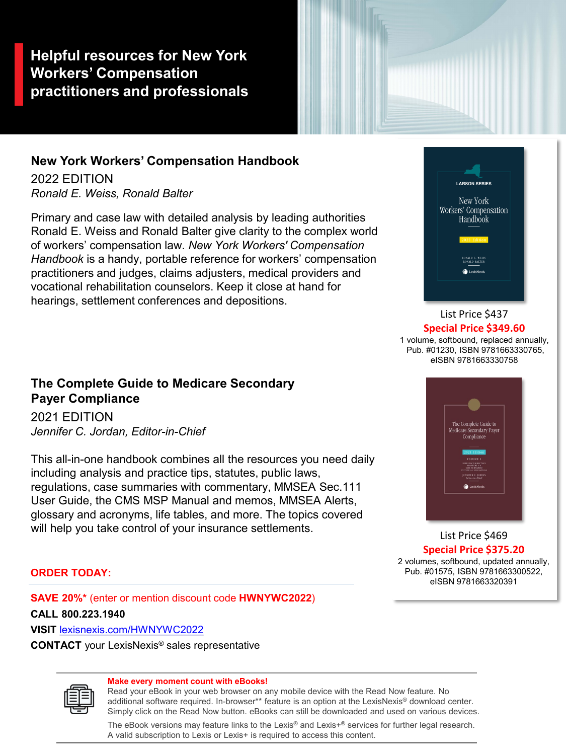**Helpful resources for New York Workers' Compensation practitioners and professionals**

## **New York Workers' Compensation Handbook**

2022 EDITION *Ronald E. Weiss, Ronald Balter*

Primary and case law with detailed analysis by leading authorities Ronald E. Weiss and Ronald Balter give clarity to the complex world of workers' compensation law. *New York Workers' Compensation Handbook* is a handy, portable reference for workers' compensation practitioners and judges, claims adjusters, medical providers and vocational rehabilitation counselors. Keep it close at hand for hearings, settlement conferences and depositions.



## List Price \$437 **Special Price \$349.60**

1 volume, softbound, replaced annually, Pub. #01230, ISBN 9781663330765, eISBN 9781663330758

## **The Complete Guide to Medicare Secondary Payer Compliance**

2021 EDITION *Jennifer C. Jordan, Editor-in-Chief*

This all-in-one handbook combines all the resources you need daily including analysis and practice tips, statutes, public laws, regulations, case summaries with commentary, MMSEA Sec.111 User Guide, the CMS MSP Manual and memos, MMSEA Alerts, glossary and acronyms, life tables, and more. The topics covered will help you take control of your insurance settlements.



List Price \$469 **Special Price \$375.20** 

2 volumes, softbound, updated annually, Pub. #01575, ISBN 9781663300522, eISBN 9781663320391

### **ORDER TODAY:**

**SAVE 20%\*** (enter or mention discount code **HWNYWC2022**)

**CALL 800.223.1940**

**VISIT** lexisnexis.com/HWNYWC2022

**CONTACT** your LexisNexis® sales representative



#### **Make every moment count with eBooks!**

Read your eBook in your web browser on any mobile device with the Read Now feature. No additional software required. In-browser\*\* feature is an option at the LexisNexis® download center. Simply click on the Read Now button. eBooks can still be downloaded and used on various devices.

The eBook versions may feature links to the Lexis® and Lexis $+$ ® services for further legal research. A valid subscription to Lexis or Lexis+ is required to access this content.